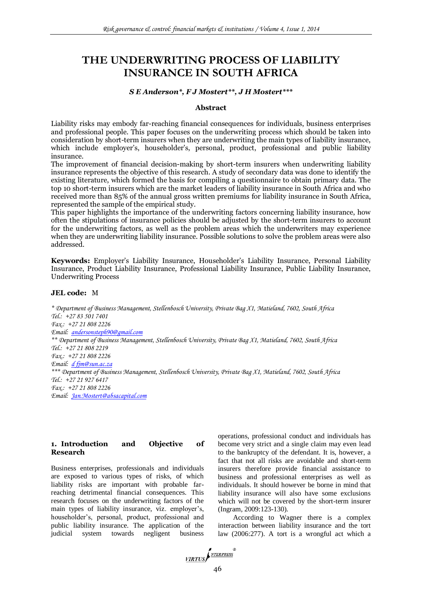# **THE UNDERWRITING PROCESS OF LIABILITY INSURANCE IN SOUTH AFRICA**

# *S E Anderson\*, F J Mostert\*\*, J H Mostert\*\*\**

#### **Abstract**

Liability risks may embody far-reaching financial consequences for individuals, business enterprises and professional people. This paper focuses on the underwriting process which should be taken into consideration by short-term insurers when they are underwriting the main types of liability insurance, which include employer's, householder's, personal, product, professional and public liability insurance.

The improvement of financial decision-making by short-term insurers when underwriting liability insurance represents the objective of this research. A study of secondary data was done to identify the existing literature, which formed the basis for compiling a questionnaire to obtain primary data. The top 10 short-term insurers which are the market leaders of liability insurance in South Africa and who received more than 85% of the annual gross written premiums for liability insurance in South Africa, represented the sample of the empirical study.

This paper highlights the importance of the underwriting factors concerning liability insurance, how often the stipulations of insurance policies should be adjusted by the short-term insurers to account for the underwriting factors, as well as the problem areas which the underwriters may experience when they are underwriting liability insurance. Possible solutions to solve the problem areas were also addressed.

**Keywords:** Employer's Liability Insurance, Householder's Liability Insurance, Personal Liability Insurance, Product Liability Insurance, Professional Liability Insurance, Public Liability Insurance, Underwriting Process

#### **JEL code:** M

*\* Department of Business Management, Stellenbosch University, Private Bag X1, Matieland, 7602, South Africa Tel.: +27 83 501 7401 Fax.: +27 21 808 2226 Email: [andersonsteph90@gmail.com](mailto:andersonsteph90@gmail.com) \*\* Department of Business Management, Stellenbosch University, Private Bag X1, Matieland, 7602, South Africa Tel.: +27 21 808 2219 Fax.: +27 21 808 2226 Email: [d fjm@sun.ac.za](mailto:darrenkylemurphy@gmail.com)  \*\*\* Department of Business Management, Stellenbosch University, Private Bag X1, Matieland, 7602, South Africa Tel.: +27 21 927 6417 Fax.: +27 21 808 2226 Email: [Jan.Mostert@absacapital.com](mailto:Jan.Mostert@absacapital.com)*

#### **1. Introduction and Objective of Research**

Business enterprises, professionals and individuals are exposed to various types of risks, of which liability risks are important with probable farreaching detrimental financial consequences. This research focuses on the underwriting factors of the main types of liability insurance, viz. employer's, householder"s, personal, product, professional and public liability insurance. The application of the judicial system towards negligent business operations, professional conduct and individuals has become very strict and a single claim may even lead to the bankruptcy of the defendant. It is, however, a fact that not all risks are avoidable and short-term insurers therefore provide financial assistance to business and professional enterprises as well as individuals. It should however be borne in mind that liability insurance will also have some exclusions which will not be covered by the short-term insurer (Ingram, 2009:123-130).

According to Wagner there is a complex interaction between liability insurance and the tort law (2006:277). A tort is a wrongful act which a

VIRTUS NTERPRESS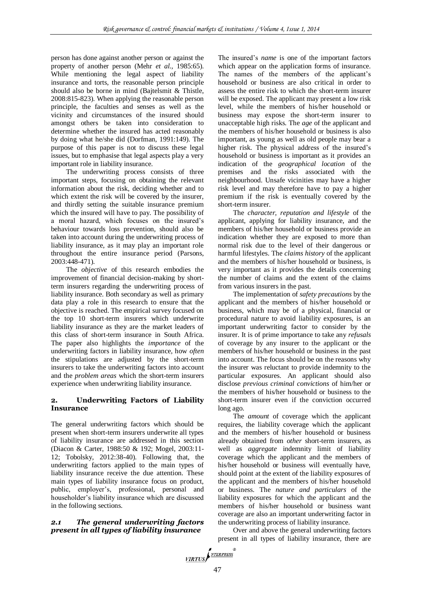person has done against another person or against the property of another person (Mehr *et al.,* 1985:65). While mentioning the legal aspect of liability insurance and torts, the reasonable person principle should also be borne in mind (Bajtelsmit & Thistle, 2008:815-823). When applying the reasonable person principle, the faculties and senses as well as the vicinity and circumstances of the insured should amongst others be taken into consideration to determine whether the insured has acted reasonably by doing what he/she did (Dorfman, 1991:149). The purpose of this paper is not to discuss these legal issues, but to emphasise that legal aspects play a very important role in liability insurance.

The underwriting process consists of three important steps, focusing on obtaining the relevant information about the risk, deciding whether and to which extent the risk will be covered by the insurer, and thirdly setting the suitable insurance premium which the insured will have to pay. The possibility of a moral hazard, which focuses on the insured"s behaviour towards loss prevention, should also be taken into account during the underwriting process of liability insurance, as it may play an important role throughout the entire insurance period (Parsons, 2003:448-471).

The *objective* of this research embodies the improvement of financial decision-making by shortterm insurers regarding the underwriting process of liability insurance. Both secondary as well as primary data play a role in this research to ensure that the objective is reached. The empirical survey focused on the top 10 short-term insurers which underwrite liability insurance as they are the market leaders of this class of short-term insurance in South Africa. The paper also highlights the *importance* of the underwriting factors in liability insurance, how *often* the stipulations are adjusted by the short-term insurers to take the underwriting factors into account and the *problem areas* which the short-term insurers experience when underwriting liability insurance.

## **2. Underwriting Factors of Liability Insurance**

The general underwriting factors which should be present when short-term insurers underwrite all types of liability insurance are addressed in this section (Diacon & Carter, 1988:50 & 192; Mogel, 2003:11- 12; Tobolsky, 2012:38-40). Following that, the underwriting factors applied to the main types of liability insurance receive the due attention. These main types of liability insurance focus on product, public, employer's, professional, personal and householder"s liability insurance which are discussed in the following sections.

# *2.1 The general underwriting factors present in all types of liability insurance*

The insured"s *name* is one of the important factors which appear on the application forms of insurance. The names of the members of the applicant's household or business are also critical in order to assess the entire risk to which the short-term insurer will be exposed. The applicant may present a low risk level, while the members of his/her household or business may expose the short-term insurer to unacceptable high risks. The *age* of the applicant and the members of his/her household or business is also important, as young as well as old people may bear a higher risk. The physical address of the insured's household or business is important as it provides an indication of the *geographical location* of the premises and the risks associated with the neighbourhood. Unsafe vicinities may have a higher risk level and may therefore have to pay a higher premium if the risk is eventually covered by the short-term insurer.

The *character, reputation and lifestyle* of the applicant, applying for liability insurance, and the members of his/her household or business provide an indication whether they are exposed to more than normal risk due to the level of their dangerous or harmful lifestyles. The *claims history* of the applicant and the members of his/her household or business, is very important as it provides the details concerning the number of claims and the extent of the claims from various insurers in the past.

The implementation of *safety precautions* by the applicant and the members of his/her household or business, which may be of a physical, financial or procedural nature to avoid liability exposures, is an important underwriting factor to consider by the insurer. It is of prime importance to take any *refusals* of coverage by any insurer to the applicant or the members of his/her household or business in the past into account. The focus should be on the reasons why the insurer was reluctant to provide indemnity to the particular exposures. An applicant should also disclose *previous criminal convictions* of him/her or the members of his/her household or business to the short-term insurer even if the conviction occurred long ago.

The *amount* of coverage which the applicant requires, the liability coverage which the applicant and the members of his/her household or business already obtained from *other* short-term insurers, as well as *aggregate* indemnity limit of liability coverage which the applicant and the members of his/her household or business will eventually have, should point at the extent of the liability exposures of the applicant and the members of his/her household or business. The *nature and particulars* of the liability exposures for which the applicant and the members of his/her household or business want coverage are also an important underwriting factor in the underwriting process of liability insurance.

Over and above the general underwriting factors present in all types of liability insurance, there are

$$
\underbrace{\textit{VIRTUS}} \sum_{\textit{NTERPRESS}}^{\textit{R}} \color{red}{}
$$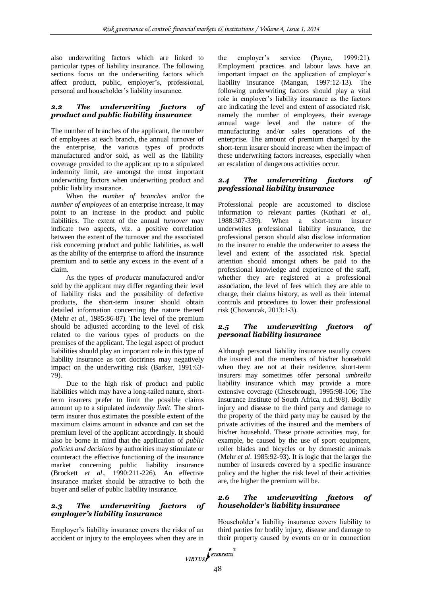also underwriting factors which are linked to particular types of liability insurance. The following sections focus on the underwriting factors which affect product, public, employer"s, professional, personal and householder"s liability insurance.

# *2.2 The underwriting factors of product and public liability insurance*

The number of branches of the applicant, the number of employees at each branch, the annual turnover of the enterprise, the various types of products manufactured and/or sold, as well as the liability coverage provided to the applicant up to a stipulated indemnity limit, are amongst the most important underwriting factors when underwriting product and public liability insurance.

When the *number of branches* and/or the *number of employees* of an enterprise increase, it may point to an increase in the product and public liabilities. The extent of the annual *turnover* may indicate two aspects, viz. a positive correlation between the extent of the turnover and the associated risk concerning product and public liabilities, as well as the ability of the enterprise to afford the insurance premium and to settle any excess in the event of a claim.

As the types of *products* manufactured and/or sold by the applicant may differ regarding their level of liability risks and the possibility of defective products, the short-term insurer should obtain detailed information concerning the nature thereof (Mehr *et al.*, 1985:86-87). The level of the premium should be adjusted according to the level of risk related to the various types of products on the premises of the applicant. The legal aspect of product liabilities should play an important role in this type of liability insurance as tort doctrines may negatively impact on the underwriting risk (Barker, 1991:63- 79).

Due to the high risk of product and public liabilities which may have a long-tailed nature, shortterm insurers prefer to limit the possible claims amount up to a stipulated *indemnity limit*. The shortterm insurer thus estimates the possible extent of the maximum claims amount in advance and can set the premium level of the applicant accordingly. It should also be borne in mind that the application of *public policies and decisions* by authorities may stimulate or counteract the effective functioning of the insurance market concerning public liability insurance (Brockett *et al*., 1990:211-226). An effective insurance market should be attractive to both the buyer and seller of public liability insurance.

# *2.3 The underwriting factors of employer's liability insurance*

Employer"s liability insurance covers the risks of an accident or injury to the employees when they are in the employer's service (Payne, 1999:21). Employment practices and labour laws have an important impact on the application of employer's liability insurance (Mangan, 1997:12-13). The following underwriting factors should play a vital role in employer"s liability insurance as the factors are indicating the level and extent of associated risk, namely the number of employees, their average annual wage level and the nature of the manufacturing and/or sales operations of the enterprise. The amount of premium charged by the short-term insurer should increase when the impact of these underwriting factors increases, especially when an escalation of dangerous activities occur.

## *2.4 The underwriting factors of professional liability insurance*

Professional people are accustomed to disclose information to relevant parties (Kothari *et al.*, 1988:307-339). When a short-term insurer underwrites professional liability insurance, the professional person should also disclose information to the insurer to enable the underwriter to assess the level and extent of the associated risk. Special attention should amongst others be paid to the professional knowledge and experience of the staff, whether they are registered at a professional association, the level of fees which they are able to charge, their claims history, as well as their internal controls and procedures to lower their professional risk (Chovancak, 2013:1-3).

# *2.5 The underwriting factors of personal liability insurance*

Although personal liability insurance usually covers the insured and the members of his/her household when they are not at their residence, short-term insurers may sometimes offer personal *umbrella* liability insurance which may provide a more extensive coverage (Chesebrough, 1995:98-106; The Insurance Institute of South Africa, n.d.:9/8). Bodily injury and disease to the third party and damage to the property of the third party may be caused by the private activities of the insured and the members of his/her household. These private activities may, for example, be caused by the use of sport equipment, roller blades and bicycles or by domestic animals (Mehr *et al*. 1985:92-93). It is logic that the larger the number of insureds covered by a specific insurance policy and the higher the risk level of their activities are, the higher the premium will be.

## *2.6 The underwriting factors of householder's liability insurance*

Householder"s liability insurance covers liability to third parties for bodily injury, disease and damage to their property caused by events on or in connection

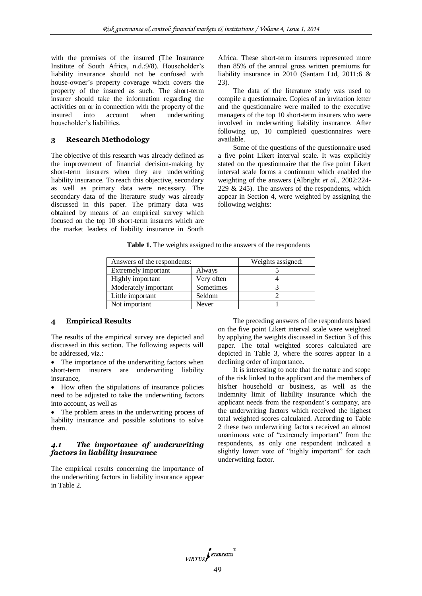with the premises of the insured (The Insurance Institute of South Africa, n.d.:9/8). Householder's liability insurance should not be confused with house-owner"s property coverage which covers the property of the insured as such. The short-term insurer should take the information regarding the activities on or in connection with the property of the insured into account when underwriting householder"s liabilities.

## **3 Research Methodology**

The objective of this research was already defined as the improvement of financial decision-making by short-term insurers when they are underwriting liability insurance. To reach this objective, secondary as well as primary data were necessary. The secondary data of the literature study was already discussed in this paper. The primary data was obtained by means of an empirical survey which focused on the top 10 short-term insurers which are the market leaders of liability insurance in South Africa. These short-term insurers represented more than 85% of the annual gross written premiums for liability insurance in 2010 (Santam Ltd, 2011:6 & 23).

The data of the literature study was used to compile a questionnaire. Copies of an invitation letter and the questionnaire were mailed to the executive managers of the top 10 short-term insurers who were involved in underwriting liability insurance. After following up, 10 completed questionnaires were available.

Some of the questions of the questionnaire used a five point Likert interval scale. It was explicitly stated on the questionnaire that the five point Likert interval scale forms a continuum which enabled the weighting of the answers (Albright *et al.*, 2002:224- 229  $&$  245). The answers of the respondents, which appear in Section 4, were weighted by assigning the following weights:

|  |  |  | Table 1. The weights assigned to the answers of the respondents |
|--|--|--|-----------------------------------------------------------------|
|  |  |  |                                                                 |

| Answers of the respondents: | Weights assigned: |  |
|-----------------------------|-------------------|--|
| Extremely important         | Always            |  |
| Highly important            | Very often        |  |
| Moderately important        | Sometimes         |  |
| Little important            | Seldom            |  |
| Not important               | Never             |  |

#### **4 Empirical Results**

The results of the empirical survey are depicted and discussed in this section. The following aspects will be addressed, viz.:

• The importance of the underwriting factors when short-term insurers are underwriting liability insurance,

• How often the stipulations of insurance policies need to be adjusted to take the underwriting factors into account, as well as

• The problem areas in the underwriting process of liability insurance and possible solutions to solve them.

# *4.1 The importance of underwriting factors in liability insurance*

The empirical results concerning the importance of the underwriting factors in liability insurance appear in Table 2.

The preceding answers of the respondents based on the five point Likert interval scale were weighted by applying the weights discussed in Section 3 of this paper. The total weighted scores calculated are depicted in Table 3, where the scores appear in a declining order of importance**.**

It is interesting to note that the nature and scope of the risk linked to the applicant and the members of his/her household or business, as well as the indemnity limit of liability insurance which the applicant needs from the respondent's company, are the underwriting factors which received the highest total weighted scores calculated. According to Table 2 these two underwriting factors received an almost unanimous vote of "extremely important" from the respondents, as only one respondent indicated a slightly lower vote of "highly important" for each underwriting factor.

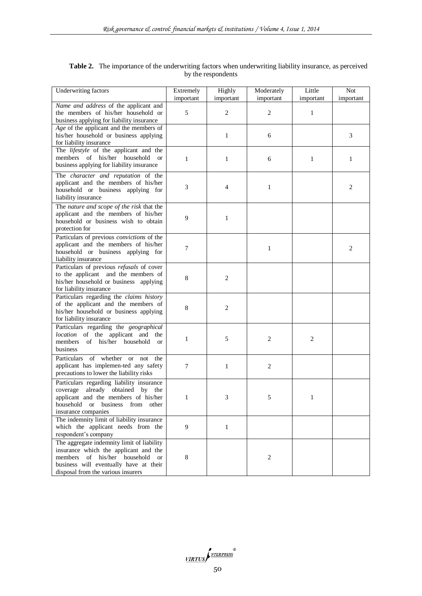| Underwriting factors                                                                                                                                                                                                    | Extremely      | Highly         | Moderately     | Little       | <b>Not</b>   |
|-------------------------------------------------------------------------------------------------------------------------------------------------------------------------------------------------------------------------|----------------|----------------|----------------|--------------|--------------|
|                                                                                                                                                                                                                         | important      | important      | important      | important    | important    |
| Name and address of the applicant and<br>the members of his/her household or<br>business applying for liability insurance                                                                                               | 5              | $\overline{c}$ | $\overline{c}$ | 1            |              |
| Age of the applicant and the members of<br>his/her household or business applying<br>for liability insurance                                                                                                            |                | $\mathbf{1}$   | 6              |              | 3            |
| The lifestyle of the applicant and the<br>members of his/her household<br><b>or</b><br>business applying for liability insurance                                                                                        | $\mathbf{1}$   | $\mathbf{1}$   | 6              | $\mathbf{1}$ | $\mathbf{1}$ |
| The character and reputation of the<br>applicant and the members of his/her<br>household or business applying for<br>liability insurance                                                                                | 3              | $\overline{4}$ | $\mathbf{1}$   |              | 2            |
| The nature and scope of the risk that the<br>applicant and the members of his/her<br>household or business wish to obtain<br>protection for                                                                             | 9              | 1              |                |              |              |
| Particulars of previous convictions of the<br>applicant and the members of his/her<br>household or business applying for<br>liability insurance                                                                         | 7              |                | 1              |              | 2            |
| Particulars of previous refusals of cover<br>to the applicant and the members of<br>his/her household or business applying<br>for liability insurance                                                                   | 8              | $\overline{c}$ |                |              |              |
| Particulars regarding the claims history<br>of the applicant and the members of<br>his/her household or business applying<br>for liability insurance                                                                    | 8              | $\overline{c}$ |                |              |              |
| Particulars regarding the geographical<br>location of the applicant and the<br>members<br>of his/her<br>household<br><b>or</b><br>business                                                                              | $\mathbf{1}$   | 5              | $\mathfrak{2}$ | $\sqrt{2}$   |              |
| Particulars of whether or not the<br>applicant has implemen-ted any safety<br>precautions to lower the liability risks                                                                                                  | $\overline{7}$ | $\mathbf{1}$   | $\mathfrak{2}$ |              |              |
| Particulars regarding liability insurance<br>already obtained by the<br>coverage<br>applicant and the members of his/her<br>household or business from other<br>insurance companies                                     | 1              | 3              | 5              | 1            |              |
| The indemnity limit of liability insurance<br>which the applicant needs from the<br>respondent's company                                                                                                                | 9              | $\mathbf{1}$   |                |              |              |
| The aggregate indemnity limit of liability<br>insurance which the applicant and the<br>members<br>of his/her household<br><sub>or</sub><br>business will eventually have at their<br>disposal from the various insurers | 8              |                | $\mathfrak{2}$ |              |              |

# Table 2. The importance of the underwriting factors when underwriting liability insurance, as perceived by the respondents

VIRTUS P<sup>NTERPRESS</sup>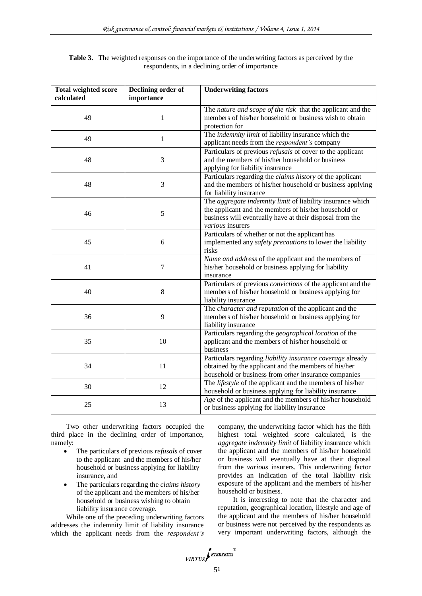| <b>Table 3.</b> The weighted responses on the importance of the underwriting factors as perceived by the |
|----------------------------------------------------------------------------------------------------------|
| respondents, in a declining order of importance                                                          |

| <b>Total weighted score</b><br>calculated | Declining order of<br>importance | <b>Underwriting factors</b>                                                                                                                                                                         |  |  |
|-------------------------------------------|----------------------------------|-----------------------------------------------------------------------------------------------------------------------------------------------------------------------------------------------------|--|--|
| 49                                        | 1                                | The nature and scope of the risk that the applicant and the<br>members of his/her household or business wish to obtain<br>protection for                                                            |  |  |
| 49                                        | $\mathbf{1}$                     | The indemnity limit of liability insurance which the<br>applicant needs from the <i>respondent's</i> company                                                                                        |  |  |
| 48                                        | 3                                | Particulars of previous <i>refusals</i> of cover to the applicant<br>and the members of his/her household or business<br>applying for liability insurance                                           |  |  |
| 48                                        | 3                                | Particulars regarding the <i>claims history</i> of the applicant<br>and the members of his/her household or business applying<br>for liability insurance                                            |  |  |
| 46                                        | 5                                | The aggregate indemnity limit of liability insurance which<br>the applicant and the members of his/her household or<br>business will eventually have at their disposal from the<br>various insurers |  |  |
| 45                                        | 6                                | Particulars of whether or not the applicant has<br>implemented any safety precautions to lower the liability<br>risks                                                                               |  |  |
| 41                                        | 7                                | Name and address of the applicant and the members of<br>his/her household or business applying for liability<br>insurance                                                                           |  |  |
| 40                                        | 8                                | Particulars of previous <i>convictions</i> of the applicant and the<br>members of his/her household or business applying for<br>liability insurance                                                 |  |  |
| 36                                        | 9                                | The <i>character and reputation</i> of the applicant and the<br>members of his/her household or business applying for<br>liability insurance                                                        |  |  |
| 35                                        | 10                               | Particulars regarding the geographical location of the<br>applicant and the members of his/her household or<br>business                                                                             |  |  |
| 34                                        | 11                               | Particulars regarding liability insurance coverage already<br>obtained by the applicant and the members of his/her<br>household or business from other insurance companies                          |  |  |
| 30                                        | 12                               | The lifestyle of the applicant and the members of his/her<br>household or business applying for liability insurance                                                                                 |  |  |
| 25                                        | 13                               | Age of the applicant and the members of his/her household<br>or business applying for liability insurance                                                                                           |  |  |

Two other underwriting factors occupied the third place in the declining order of importance, namely:

- The particulars of previous *refusals* of cover to the applicant and the members of his/her household or business applying for liability insurance, and
- The particulars regarding the *claims history*  of the applicant and the members of his/her household or business wishing to obtain liability insurance coverage.

While one of the preceding underwriting factors addresses the indemnity limit of liability insurance which the applicant needs from the *respondent's*

company, the underwriting factor which has the fifth highest total weighted score calculated, is the *aggregate indemnity limit* of liability insurance which the applicant and the members of his/her household or business will eventually have at their disposal from the *various* insurers. This underwriting factor provides an indication of the total liability risk exposure of the applicant and the members of his/her household or business.

It is interesting to note that the character and reputation, geographical location, lifestyle and age of the applicant and the members of his/her household or business were not perceived by the respondents as very important underwriting factors, although the

VIRTUS NEERPRESS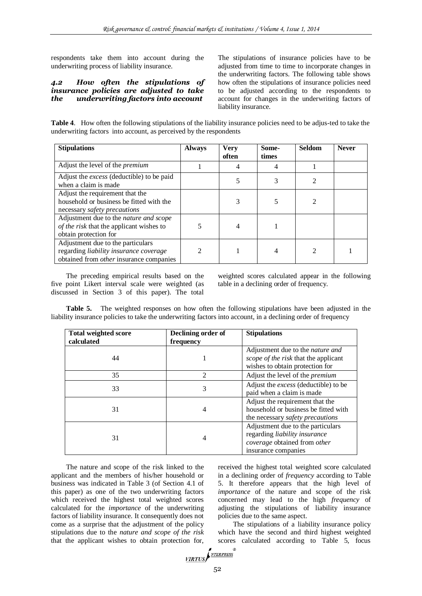respondents take them into account during the underwriting process of liability insurance.

## *4.2 How often the stipulations of insurance policies are adjusted to take the underwriting factors into account*

The stipulations of insurance policies have to be adjusted from time to time to incorporate changes in the underwriting factors. The following table shows how often the stipulations of insurance policies need to be adjusted according to the respondents to account for changes in the underwriting factors of liability insurance.

**Table 4**. How often the following stipulations of the liability insurance policies need to be adjus-ted to take the underwriting factors into account, as perceived by the respondents

| <b>Stipulations</b>                                                                                                           | <b>Always</b>  | <b>Very</b><br>often | Some-<br>times | <b>Seldom</b> | <b>Never</b> |
|-------------------------------------------------------------------------------------------------------------------------------|----------------|----------------------|----------------|---------------|--------------|
| Adjust the level of the <i>premium</i>                                                                                        |                |                      | 4              |               |              |
| Adjust the <i>excess</i> (deductible) to be paid<br>when a claim is made                                                      |                |                      | 3              | 2             |              |
| Adjust the requirement that the<br>household or business be fitted with the<br>necessary safety precautions                   |                |                      |                |               |              |
| Adjustment due to the nature and scope<br>of the risk that the applicant wishes to<br>obtain protection for                   | 5              |                      |                |               |              |
| Adjustment due to the particulars<br>regarding liability insurance coverage<br>obtained from <i>other</i> insurance companies | $\mathfrak{D}$ |                      | 4              |               |              |

The preceding empirical results based on the five point Likert interval scale were weighted (as discussed in Section 3 of this paper). The total

weighted scores calculated appear in the following table in a declining order of frequency.

**Table 5.** The weighted responses on how often the following stipulations have been adjusted in the liability insurance policies to take the underwriting factors into account, in a declining order of frequency

| <b>Total weighted score</b><br>calculated | Declining order of<br>frequency | <b>Stipulations</b>                                                                                                       |
|-------------------------------------------|---------------------------------|---------------------------------------------------------------------------------------------------------------------------|
| 44                                        |                                 | Adjustment due to the <i>nature and</i><br>scope of the risk that the applicant<br>wishes to obtain protection for        |
| 35                                        | 2                               | Adjust the level of the <i>premium</i>                                                                                    |
| 33                                        | 3                               | Adjust the <i>excess</i> (deductible) to be<br>paid when a claim is made                                                  |
| 31                                        | 4                               | Adjust the requirement that the<br>household or business be fitted with<br>the necessary <i>safety precautions</i>        |
| 31                                        | 4                               | Adjustment due to the particulars<br>regarding liability insurance<br>coverage obtained from other<br>insurance companies |

The nature and scope of the risk linked to the applicant and the members of his/her household or business was indicated in Table 3 (of Section 4.1 of this paper) as one of the two underwriting factors which received the highest total weighted scores calculated for the *importance* of the underwriting factors of liability insurance. It consequently does not come as a surprise that the adjustment of the policy stipulations due to the *nature and scope of the risk* that the applicant wishes to obtain protection for,

received the highest total weighted score calculated in a declining order of *frequency* according to Table 5. It therefore appears that the high level of *importance* of the nature and scope of the risk concerned may lead to the high *frequency* of adjusting the stipulations of liability insurance policies due to the same aspect.

The stipulations of a liability insurance policy which have the second and third highest weighted scores calculated according to Table 5, focus

$$
\frac{1}{\text{VIRTUS}}\int_{\text{NTERPRESS}}^{\infty}
$$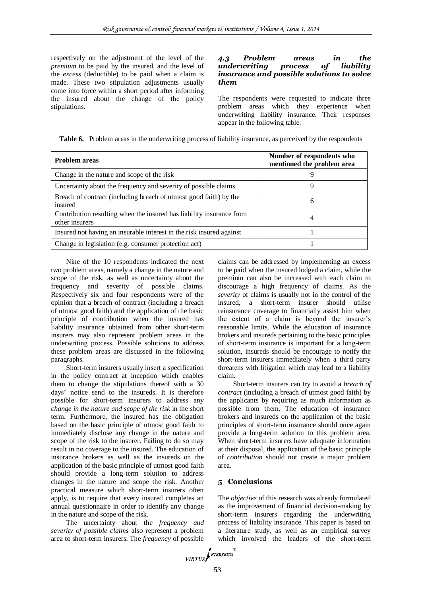respectively on the adjustment of the level of the *premium* to be paid by the insured, and the level of the *excess* (deductible) to be paid when a claim is made. These two stipulation adjustments usually come into force within a short period after informing the insured about the change of the policy stipulations.

#### *4.3 Problem areas in the underwriting process of liability insurance and possible solutions to solve them*

The respondents were requested to indicate three problem areas which they experience when underwriting liability insurance. Their responses appear in the following table.

**Table 6.** Problem areas in the underwriting process of liability insurance, as perceived by the respondents

| <b>Problem areas</b>                                                                   | Number of respondents who<br>mentioned the problem area |
|----------------------------------------------------------------------------------------|---------------------------------------------------------|
| Change in the nature and scope of the risk                                             |                                                         |
| Uncertainty about the frequency and severity of possible claims                        | 9                                                       |
| Breach of contract (including breach of utmost good faith) by the<br>insured           | 6                                                       |
| Contribution resulting when the insured has liability insurance from<br>other insurers | 4                                                       |
| Insured not having an insurable interest in the risk insured against                   |                                                         |
| Change in legislation (e.g. consumer protection act)                                   |                                                         |

Nine of the 10 respondents indicated the next two problem areas, namely a change in the nature and scope of the risk, as well as uncertainty about the frequency and severity of possible claims. Respectively six and four respondents were of the opinion that a breach of contract (including a breach of utmost good faith) and the application of the basic principle of contribution when the insured has liability insurance obtained from other short-term insurers may also represent problem areas in the underwriting process. Possible solutions to address these problem areas are discussed in the following paragraphs.

Short-term insurers usually insert a specification in the policy contract at inception which enables them to change the stipulations thereof with a 30 days" notice send to the insureds. It is therefore possible for short-term insurers to address any *change in the nature and scope of the risk* in the short term*.* Furthermore, the insured has the obligation based on the basic principle of utmost good faith to immediately disclose any change in the nature and scope of the risk to the insurer. Failing to do so may result in no coverage to the insured. The education of insurance brokers as well as the insureds on the application of the basic principle of utmost good faith should provide a long-term solution to address changes in the nature and scope the risk. Another practical measure which short-term insurers often apply, is to require that every insured completes an annual questionnaire in order to identify any change in the nature and scope of the risk.

The uncertainty about the *frequency and severity of possible claims* also represent a problem area to short-term insurers. The *frequency* of possible claims can be addressed by implementing an excess to be paid when the insured lodged a claim, while the premium can also be increased with each claim to discourage a high frequency of claims. As the *severity* of claims is usually not in the control of the insured, a short-term insurer should utilise reinsurance coverage to financially assist him when the extent of a claim is beyond the insurer's reasonable limits. While the education of insurance brokers and insureds pertaining to the basic principles of short-term insurance is important for a long-term solution, insureds should be encourage to notify the short-term insurers immediately when a third party threatens with litigation which may lead to a liability claim.

Short-term insurers can try to avoid a *breach of contract* (including a breach of utmost good faith) by the applicants by requiring as much information as possible from them. The education of insurance brokers and insureds on the application of the basic principles of short-term insurance should once again provide a long-term solution to this problem area. When short-term insurers have adequate information at their disposal, the application of the basic principle of *contribution* should not create a major problem area.

## **5 Conclusions**

The *objective* of this research was already formulated as the improvement of financial decision-making by short-term insurers regarding the underwriting process of liability insurance. This paper is based on a literature study, as well as an empirical survey which involved the leaders of the short-term

VIRTUS